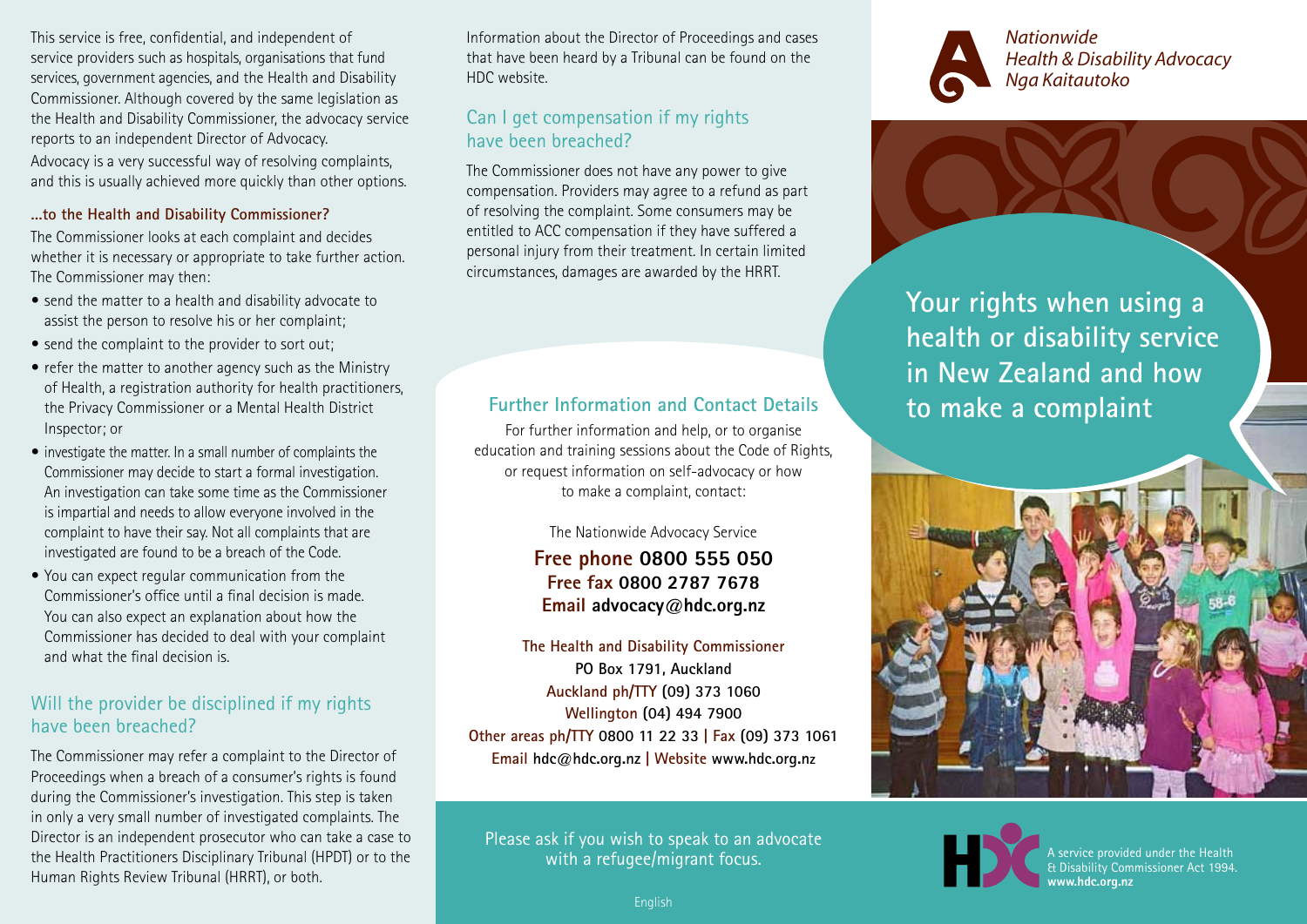This service is free, confidential, and independent of service providers such as hospitals, organisations that fund services, government agencies, and the Health and Disability Commissioner. Although covered by the same legislation as the Health and Disability Commissioner, the advocacy service reports to an independent Director of Advocacy. Advocacy is a very successful way of resolving complaints, and this is usually achieved more quickly than other options.

#### **…to the Health and Disability Commissioner?**

The Commissioner looks at each complaint and decides whether it is necessary or appropriate to take further action. The Commissioner may then:

- send the matter to a health and disability advocate to assist the person to resolve his or her complaint;
- send the complaint to the provider to sort out;
- refer the matter to another agency such as the Ministry of Health, a registration authority for health practitioners, the Privacy Commissioner or a Mental Health District Inspector; or
- investigate the matter. In a small number of complaints the Commissioner may decide to start a formal investigation. An investigation can take some time as the Commissioner is impartial and needs to allow everyone involved in the complaint to have their say. Not all complaints that are investigated are found to be a breach of the Code.
- You can expect regular communication from the Commissioner's office until a final decision is made. You can also expect an explanation about how the Commissioner has decided to deal with your complaint and what the final decision is.

## Will the provider be disciplined if my rights have been breached?

The Commissioner may refer a complaint to the Director of Proceedings when a breach of a consumer's rights is found during the Commissioner's investigation. This step is taken in only a very small number of investigated complaints. The Director is an independent prosecutor who can take a case to the Health Practitioners Disciplinary Tribunal (HPDT) or to the Human Rights Review Tribunal (HRRT), or both.

Information about the Director of Proceedings and cases that have been heard by a Tribunal can be found on the HDC website.

# Can I get compensation if my rights have been breached?

The Commissioner does not have any power to give compensation. Providers may agree to a refund as part of resolving the complaint. Some consumers may be entitled to ACC compensation if they have suffered a personal injury from their treatment. In certain limited circumstances, damages are awarded by the HRRT.

# **Further Information and Contact Details**

For further information and help, or to organise education and training sessions about the Code of Rights, or request information on self-advocacy or how to make a complaint, contact:

The Nationwide Advocacy Service

**Free phone 0800 555 050 Free fax 0800 2787 7678 Email advocacy@hdc.org.nz**

**The Health and Disability Commissioner PO Box 1791, Auckland Auckland ph/TTY (09) 373 1060 Wellington (04) 494 7900 Other areas ph/TTY 0800 11 22 33 | Fax (09) 373 1061 Email hdc@hdc.org.nz | Website www.hdc.org.nz**

Please ask if you wish to speak to an advocate with a refugee/migrant focus.



*Nationwide Health & Disability Advocacy Nga Kaitautoko*

**Your rights when using a health or disability service in New Zealand and how to make a complaint**





A service provided under the Health **Disability Commissioner Act 1994. www.hdc.org.nz**